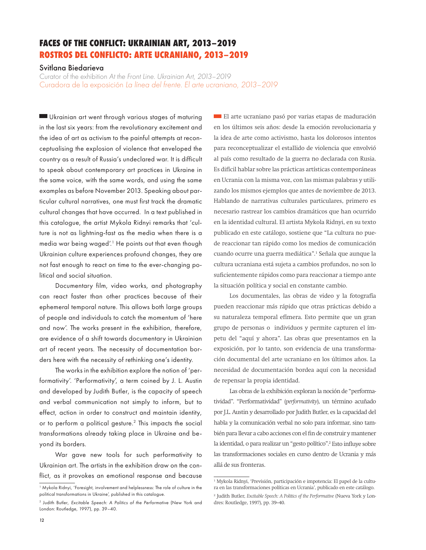## **FACES OF THE CONFLICT: UKRAINIAN ART, 2013–2019 ROSTROS DEL CONFLICTO: ARTE UCRANIANO, 2013–2019**

## Svitlana Biedarieva

Curator of the exhibition *At the Front Line. Ukrainian Art, 2013–2019* Curadora de la exposición *La línea del frente. El arte ucraniano, 2013–2019*

 Ukrainian art went through various stages of maturing in the last six years: from the revolutionary excitement and the idea of art as activism to the painful attempts at reconceptualising the explosion of violence that enveloped the country as a result of Russia's undeclared war. It is difficult to speak about contemporary art practices in Ukraine in the same voice, with the same words, and using the same examples as before November 2013. Speaking about particular cultural narratives, one must first track the dramatic cultural changes that have occurred. In a text published in this catalogue, the artist Mykola Ridnyi remarks that 'culture is not as lightning-fast as the media when there is a media war being waged'.<sup>1</sup> He points out that even though Ukrainian culture experiences profound changes, they are not fast enough to react on time to the ever-changing political and social situation.

Documentary film, video works, and photography can react faster than other practices because of their ephemeral temporal nature. This allows both large groups of people and individuals to catch the momentum of 'here and now'. The works present in the exhibition, therefore, are evidence of a shift towards documentary in Ukrainian art of recent years. The necessity of documentation borders here with the necessity of rethinking one's identity.

The works in the exhibition explore the notion of 'performativity'. 'Performativity', a term coined by J. L. Austin and developed by Judith Butler, is the capacity of speech and verbal communication not simply to inform, but to effect, action in order to construct and maintain identity, or to perform a political gesture.2 This impacts the social transformations already taking place in Ukraine and beyond its borders.

War gave new tools for such performativity to Ukrainian art. The artists in the exhibition draw on the conflict, as it provokes an emotional response and because

El arte ucraniano pasó por varias etapas de maduración en los últimos seis años: desde la emoción revolucionaria y la idea de arte como activismo, hasta los dolorosos intentos para reconceptualizar el estallido de violencia que envolvió al país como resultado de la guerra no declarada con Rusia. Es difícil hablar sobre las prácticas artísticas contemporáneas en Ucrania con la misma voz, con las mismas palabras y utilizando los mismos ejemplos que antes de noviembre de 2013. Hablando de narrativas culturales particulares, primero es necesario rastrear los cambios dramáticos que han ocurrido en la identidad cultural. El artista Mykola Ridnyi, en su texto publicado en este catálogo, sostiene que "La cultura no puede reaccionar tan rápido como los medios de comunicación cuando ocurre una guerra mediática".1 Señala que aunque la cultura ucraniana está sujeta a cambios profundos, no son lo suficientemente rápidos como para reaccionar a tiempo ante la situación política y social en constante cambio.

Los documentales, las obras de video y la fotografía pueden reaccionar más rápido que otras prácticas debido a su naturaleza temporal efímera. Esto permite que un gran grupo de personas o individuos y permite capturen el ímpetu del "aquí y ahora". Las obras que presentamos en la exposición, por lo tanto, son evidencia de una transformación documental del arte ucraniano en los últimos años. La necesidad de documentación bordea aquí con la necesidad de repensar la propia identidad.

Las obras de la exhibición exploran la noción de "performatividad". "Performatividad" (*performativity*), un término acuñado por J.L. Austin y desarrollado por Judith Butler, es la capacidad del habla y la comunicación verbal no solo para informar, sino también para llevar a cabo acciones con el fin de construir y mantener la identidad, o para realizar un "gesto político".2 Esto influye sobre las transformaciones sociales en curso dentro de Ucrania y más allá de sus fronteras.

<sup>&</sup>lt;sup>1</sup> Mykola Ridnyi, 'Foresight, involvement and helplessness: The role of culture in the political transformations in Ukraine', published in this catalogue.

<sup>2</sup> Judith Butler, *Excitable Speech: A Politics of the Performative* (New York and London: Routledge, 1997), pp. 39–40.

<sup>1</sup> Mykola Ridnyi, 'Previsión, participación e impotencia: El papel de la cultura en las transformaciones políticas en Ucrania', publicado en este catálogo.

<sup>2</sup> Judith Butler, *Excitable Speech: A Politics of the Performative* (Nueva York y Londres: Routledge, 1997), pp. 39–40.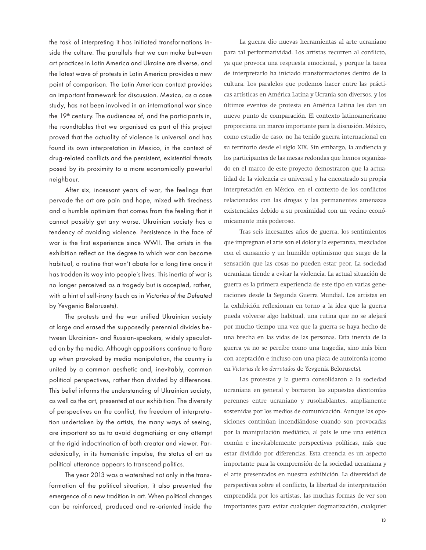the task of interpreting it has initiated transformations inside the culture. The parallels that we can make between art practices in Latin America and Ukraine are diverse, and the latest wave of protests in Latin America provides a new point of comparison. The Latin American context provides an important framework for discussion. Mexico, as a case study, has not been involved in an international war since the  $19<sup>th</sup>$  century. The audiences of, and the participants in, the roundtables that we organised as part of this project proved that the actuality of violence is universal and has found its own interpretation in Mexico, in the context of drug-related conflicts and the persistent, existential threats posed by its proximity to a more economically powerful neighbour.

After six, incessant years of war, the feelings that pervade the art are pain and hope, mixed with tiredness and a humble optimism that comes from the feeling that it cannot possibly get any worse. Ukrainian society has a tendency of avoiding violence. Persistence in the face of war is the first experience since WWII. The artists in the exhibition reflect on the degree to which war can become habitual, a routine that won't abate for a long time once it has trodden its way into people's lives. This inertia of war is no longer perceived as a tragedy but is accepted, rather, with a hint of self-irony (such as in *Victories of the Defeated* by Yevgenia Belorusets).

The protests and the war unified Ukrainian society at large and erased the supposedly perennial divides between Ukrainian- and Russian-speakers, widely speculated on by the media. Although oppositions continue to flare up when provoked by media manipulation, the country is united by a common aesthetic and, inevitably, common political perspectives, rather than divided by differences. This belief informs the understanding of Ukrainian society, as well as the art, presented at our exhibition. The diversity of perspectives on the conflict, the freedom of interpretation undertaken by the artists, the many ways of seeing, are important so as to avoid dogmatising or any attempt at the rigid indoctrination of both creator and viewer. Paradoxically, in its humanistic impulse, the status of art as political utterance appears to transcend politics.

The year 2013 was a watershed not only in the transformation of the political situation, it also presented the emergence of a new tradition in art. When political changes can be reinforced, produced and re-oriented inside the

La guerra dio nuevas herramientas al arte ucraniano para tal performatividad. Los artistas recurren al conflicto, ya que provoca una respuesta emocional, y porque la tarea de interpretarlo ha iniciado transformaciones dentro de la cultura. Los paralelos que podemos hacer entre las prácticas artísticas en América Latina y Ucrania son diversos, y los últimos eventos de protesta en América Latina les dan un nuevo punto de comparación. El contexto latinoamericano proporciona un marco importante para la discusión. México, como estudio de caso, no ha tenido guerra internacional en su territorio desde el siglo XIX. Sin embargo, la audiencia y los participantes de las mesas redondas que hemos organizado en el marco de este proyecto demostraron que la actualidad de la violencia es universal y ha encontrado su propia interpretación en México, en el contexto de los conflictos relacionados con las drogas y las permanentes amenazas existenciales debido a su proximidad con un vecino económicamente más poderoso.

Tras seis incesantes años de guerra, los sentimientos que impregnan el arte son el dolor y la esperanza, mezclados con el cansancio y un humilde optimismo que surge de la sensación que las cosas no pueden estar peor. La sociedad ucraniana tiende a evitar la violencia. La actual situación de guerra es la primera experiencia de este tipo en varias generaciones desde la Segunda Guerra Mundial. Los artistas en la exhibición reflexionan en torno a la idea que la guerra pueda volverse algo habitual, una rutina que no se alejará por mucho tiempo una vez que la guerra se haya hecho de una brecha en las vidas de las personas. Esta inercia de la guerra ya no se percibe como una tragedia, sino más bien con aceptación e incluso con una pizca de autoironía (como en *Victorias de los derrotados* de Yevgenia Belorusets).

Las protestas y la guerra consolidaron a la sociedad ucraniana en general y borraron las supuestas dicotomías perennes entre ucraniano y rusohablantes, ampliamente sostenidas por los medios de comunicación. Aunque las oposiciones continúan incendiándose cuando son provocadas por la manipulación mediática, al país le une una estética común e inevitablemente perspectivas políticas, más que estar dividido por diferencias. Esta creencia es un aspecto importante para la comprensión de la sociedad ucraniana y el arte presentados en nuestra exhibición. La diversidad de perspectivas sobre el conflicto, la libertad de interpretación emprendida por los artistas, las muchas formas de ver son importantes para evitar cualquier dogmatización, cualquier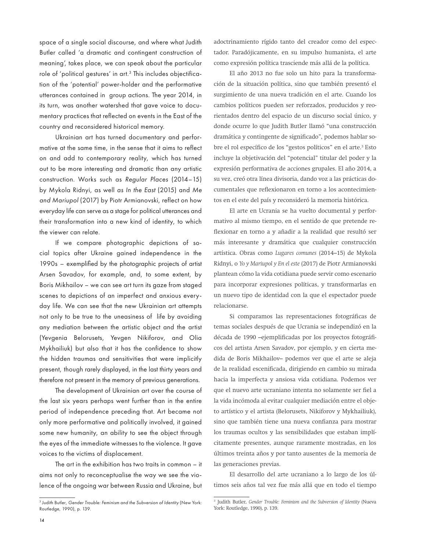space of a single social discourse, and where what Judith Butler called 'a dramatic and contingent construction of meaning', takes place, we can speak about the particular role of 'political gestures' in art.<sup>3</sup> This includes objectification of the 'potential' power-holder and the performative utterances contained in group actions. The year 2014, in its turn, was another watershed that gave voice to documentary practices that reflected on events in the East of the country and reconsidered historical memory.

Ukrainian art has turned documentary and performative at the same time, in the sense that it aims to reflect on and add to contemporary reality, which has turned out to be more interesting and dramatic than any artistic construction. Works such as *Regular Places* (2014–15) by Mykola Ridnyi, as well *as In the East* (2015) and *Me and Mariupol* (2017) by Piotr Armianovski, reflect on how everyday life can serve as a stage for political utterances and their transformation into a new kind of identity, to which the viewer can relate.

If we compare photographic depictions of social topics after Ukraine gained independence in the 1990s – exemplified by the photographic projects of artist Arsen Savadov, for example, and, to some extent, by Boris Mikhailov – we can see art turn its gaze from staged scenes to depictions of an imperfect and anxious everyday life. We can see that the new Ukrainian art attempts not only to be true to the uneasiness of life by avoiding any mediation between the artistic object and the artist (Yevgenia Belorusets, Yevgen Nikiforov, and Olia Mykhailiuk) but also that it has the confidence to show the hidden traumas and sensitivities that were implicitly present, though rarely displayed, in the last thirty years and therefore not present in the memory of previous generations.

The development of Ukrainian art over the course of the last six years perhaps went further than in the entire period of independence preceding that. Art became not only more performative and politically involved, it gained some new humanity, an ability to see the object through the eyes of the immediate witnesses to the violence. It gave voices to the victims of displacement.

The art in the exhibition has two traits in common – it aims not only to reconceptualise the way we see the violence of the ongoing war between Russia and Ukraine, but

adoctrinamiento rígido tanto del creador como del espectador. Paradójicamente, en su impulso humanista, el arte como expresión política trasciende más allá de la política.

El año 2013 no fue solo un hito para la transformación de la situación política, sino que también presentó el surgimiento de una nueva tradición en el arte. Cuando los cambios políticos pueden ser reforzados, producidos y reorientados dentro del espacio de un discurso social único, y donde ocurre lo que Judith Butler llamó "una construcción dramática y contingente de significado", podemos hablar sobre el rol específico de los "gestos políticos" en el arte.<sup>3</sup> Esto incluye la objetivación del "potencial" titular del poder y la expresión performativa de acciones grupales. El año 2014, a su vez, creó otra línea divisoria, dando voz a las prácticas documentales que reflexionaron en torno a los acontecimientos en el este del país y reconsideró la memoria histórica.

El arte en Ucrania se ha vuelto documental y performativo al mismo tiempo, en el sentido de que pretende reflexionar en torno a y añadir a la realidad que resultó ser más interesante y dramática que cualquier construcción artística. Obras como *Lugares comunes* (2014–15) de Mykola Ridnyi, o *Yo y Mariupol y En el este* (2017) de Piotr Armianovski plantean cómo la vida cotidiana puede servir como escenario para incorporar expresiones políticas, y transformarlas en un nuevo tipo de identidad con la que el espectador puede relacionarse.

Si comparamos las representaciones fotográficas de temas sociales después de que Ucrania se independizó en la década de 1990 –ejemplificadas por los proyectos fotográficos del artista Arsen Savadov, por ejemplo, y en cierta medida de Boris Mikhailov– podemos ver que el arte se aleja de la realidad escenificada, dirigiendo en cambio su mirada hacia la imperfecta y ansiosa vida cotidiana. Podemos ver que el nuevo arte ucraniano intenta no solamente ser fiel a la vida incómoda al evitar cualquier mediación entre el objeto artístico y el artista (Belorusets, Nikiforov y Mykhailiuk), sino que también tiene una nueva confianza para mostrar los traumas ocultos y las sensibilidades que estaban implícitamente presentes, aunque raramente mostradas, en los últimos treinta años y por tanto ausentes de la memoria de las generaciones previas.

El desarrollo del arte ucraniano a lo largo de los últimos seis años tal vez fue más allá que en todo el tiempo

<sup>3</sup> Judith Butler, *Gender Trouble: Feminism and the Subversion of Identity* (New York: Routledge, 1990), p. 139.

<sup>&</sup>lt;sup>3</sup> Judith Butler, *Gender Trouble: Feminism and the Subversion of Identity* (Nueva York: Routledge, 1990), p. 139.